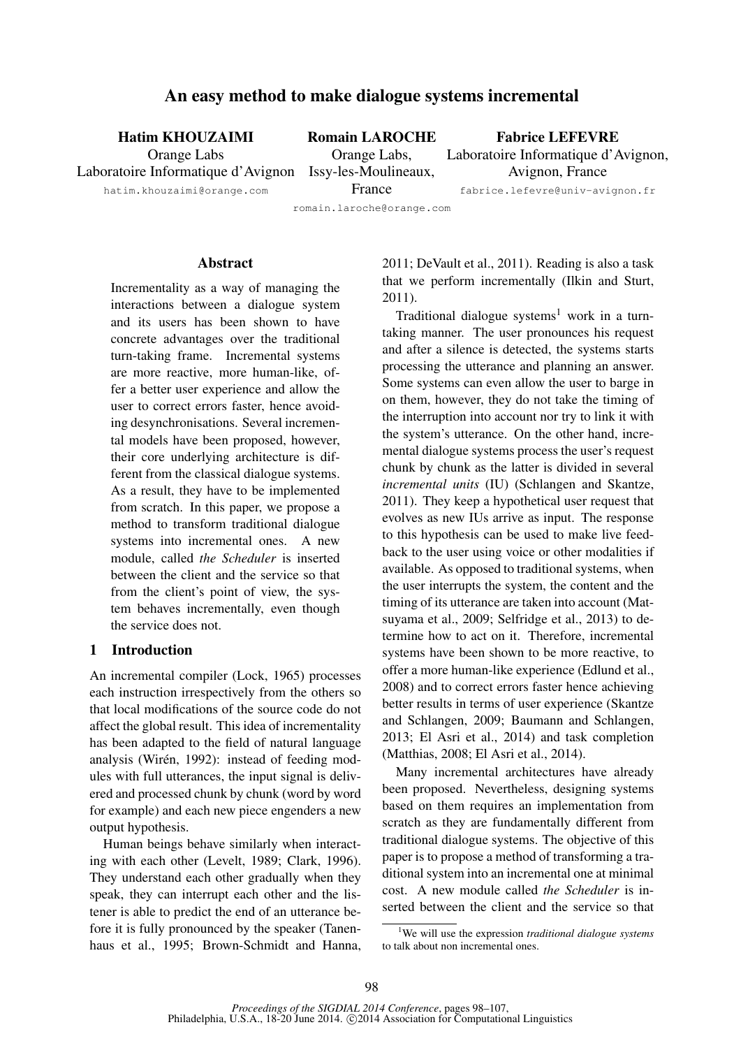# An easy method to make dialogue systems incremental

Hatim KHOUZAIMI Orange Labs

Laboratoire Informatique d'Avignon Issy-les-Moulineaux, Romain LAROCHE Orange Labs,

Fabrice LEFEVRE Laboratoire Informatique d'Avignon, Avignon, France

fabrice.lefevre@univ-avignon.fr

hatim.khouzaimi@orange.com

France romain.laroche@orange.com

#### Abstract

Incrementality as a way of managing the interactions between a dialogue system and its users has been shown to have concrete advantages over the traditional turn-taking frame. Incremental systems are more reactive, more human-like, offer a better user experience and allow the user to correct errors faster, hence avoiding desynchronisations. Several incremental models have been proposed, however, their core underlying architecture is different from the classical dialogue systems. As a result, they have to be implemented from scratch. In this paper, we propose a method to transform traditional dialogue systems into incremental ones. A new module, called *the Scheduler* is inserted between the client and the service so that from the client's point of view, the system behaves incrementally, even though the service does not.

#### 1 Introduction

An incremental compiler (Lock, 1965) processes each instruction irrespectively from the others so that local modifications of the source code do not affect the global result. This idea of incrementality has been adapted to the field of natural language analysis (Wirén, 1992): instead of feeding modules with full utterances, the input signal is delivered and processed chunk by chunk (word by word for example) and each new piece engenders a new output hypothesis.

Human beings behave similarly when interacting with each other (Levelt, 1989; Clark, 1996). They understand each other gradually when they speak, they can interrupt each other and the listener is able to predict the end of an utterance before it is fully pronounced by the speaker (Tanenhaus et al., 1995; Brown-Schmidt and Hanna, 2011; DeVault et al., 2011). Reading is also a task that we perform incrementally (Ilkin and Sturt, 2011).

Traditional dialogue systems<sup>1</sup> work in a turntaking manner. The user pronounces his request and after a silence is detected, the systems starts processing the utterance and planning an answer. Some systems can even allow the user to barge in on them, however, they do not take the timing of the interruption into account nor try to link it with the system's utterance. On the other hand, incremental dialogue systems process the user's request chunk by chunk as the latter is divided in several *incremental units* (IU) (Schlangen and Skantze, 2011). They keep a hypothetical user request that evolves as new IUs arrive as input. The response to this hypothesis can be used to make live feedback to the user using voice or other modalities if available. As opposed to traditional systems, when the user interrupts the system, the content and the timing of its utterance are taken into account (Matsuyama et al., 2009; Selfridge et al., 2013) to determine how to act on it. Therefore, incremental systems have been shown to be more reactive, to offer a more human-like experience (Edlund et al., 2008) and to correct errors faster hence achieving better results in terms of user experience (Skantze and Schlangen, 2009; Baumann and Schlangen, 2013; El Asri et al., 2014) and task completion (Matthias, 2008; El Asri et al., 2014).

Many incremental architectures have already been proposed. Nevertheless, designing systems based on them requires an implementation from scratch as they are fundamentally different from traditional dialogue systems. The objective of this paper is to propose a method of transforming a traditional system into an incremental one at minimal cost. A new module called *the Scheduler* is inserted between the client and the service so that

<sup>1</sup>We will use the expression *traditional dialogue systems* to talk about non incremental ones.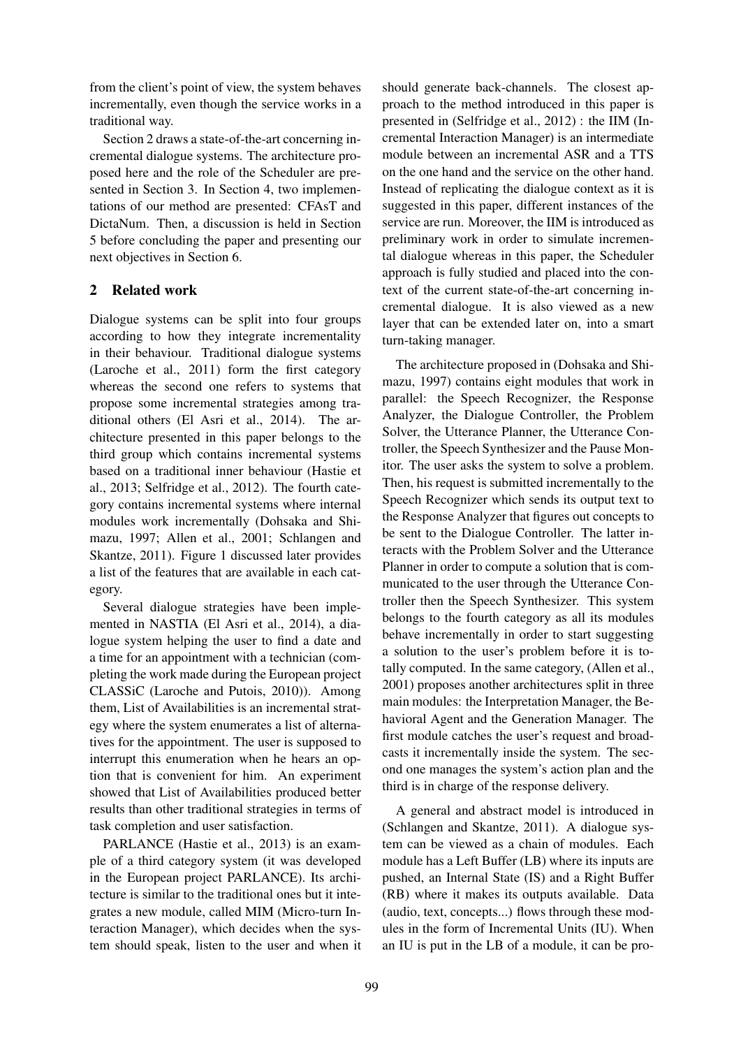from the client's point of view, the system behaves incrementally, even though the service works in a traditional way.

Section 2 draws a state-of-the-art concerning incremental dialogue systems. The architecture proposed here and the role of the Scheduler are presented in Section 3. In Section 4, two implementations of our method are presented: CFAsT and DictaNum. Then, a discussion is held in Section 5 before concluding the paper and presenting our next objectives in Section 6.

# 2 Related work

Dialogue systems can be split into four groups according to how they integrate incrementality in their behaviour. Traditional dialogue systems (Laroche et al., 2011) form the first category whereas the second one refers to systems that propose some incremental strategies among traditional others (El Asri et al., 2014). The architecture presented in this paper belongs to the third group which contains incremental systems based on a traditional inner behaviour (Hastie et al., 2013; Selfridge et al., 2012). The fourth category contains incremental systems where internal modules work incrementally (Dohsaka and Shimazu, 1997; Allen et al., 2001; Schlangen and Skantze, 2011). Figure 1 discussed later provides a list of the features that are available in each category.

Several dialogue strategies have been implemented in NASTIA (El Asri et al., 2014), a dialogue system helping the user to find a date and a time for an appointment with a technician (completing the work made during the European project CLASSiC (Laroche and Putois, 2010)). Among them, List of Availabilities is an incremental strategy where the system enumerates a list of alternatives for the appointment. The user is supposed to interrupt this enumeration when he hears an option that is convenient for him. An experiment showed that List of Availabilities produced better results than other traditional strategies in terms of task completion and user satisfaction.

PARLANCE (Hastie et al., 2013) is an example of a third category system (it was developed in the European project PARLANCE). Its architecture is similar to the traditional ones but it integrates a new module, called MIM (Micro-turn Interaction Manager), which decides when the system should speak, listen to the user and when it

should generate back-channels. The closest approach to the method introduced in this paper is presented in (Selfridge et al., 2012) : the IIM (Incremental Interaction Manager) is an intermediate module between an incremental ASR and a TTS on the one hand and the service on the other hand. Instead of replicating the dialogue context as it is suggested in this paper, different instances of the service are run. Moreover, the IIM is introduced as preliminary work in order to simulate incremental dialogue whereas in this paper, the Scheduler approach is fully studied and placed into the context of the current state-of-the-art concerning incremental dialogue. It is also viewed as a new layer that can be extended later on, into a smart turn-taking manager.

The architecture proposed in (Dohsaka and Shimazu, 1997) contains eight modules that work in parallel: the Speech Recognizer, the Response Analyzer, the Dialogue Controller, the Problem Solver, the Utterance Planner, the Utterance Controller, the Speech Synthesizer and the Pause Monitor. The user asks the system to solve a problem. Then, his request is submitted incrementally to the Speech Recognizer which sends its output text to the Response Analyzer that figures out concepts to be sent to the Dialogue Controller. The latter interacts with the Problem Solver and the Utterance Planner in order to compute a solution that is communicated to the user through the Utterance Controller then the Speech Synthesizer. This system belongs to the fourth category as all its modules behave incrementally in order to start suggesting a solution to the user's problem before it is totally computed. In the same category, (Allen et al., 2001) proposes another architectures split in three main modules: the Interpretation Manager, the Behavioral Agent and the Generation Manager. The first module catches the user's request and broadcasts it incrementally inside the system. The second one manages the system's action plan and the third is in charge of the response delivery.

A general and abstract model is introduced in (Schlangen and Skantze, 2011). A dialogue system can be viewed as a chain of modules. Each module has a Left Buffer (LB) where its inputs are pushed, an Internal State (IS) and a Right Buffer (RB) where it makes its outputs available. Data (audio, text, concepts...) flows through these modules in the form of Incremental Units (IU). When an IU is put in the LB of a module, it can be pro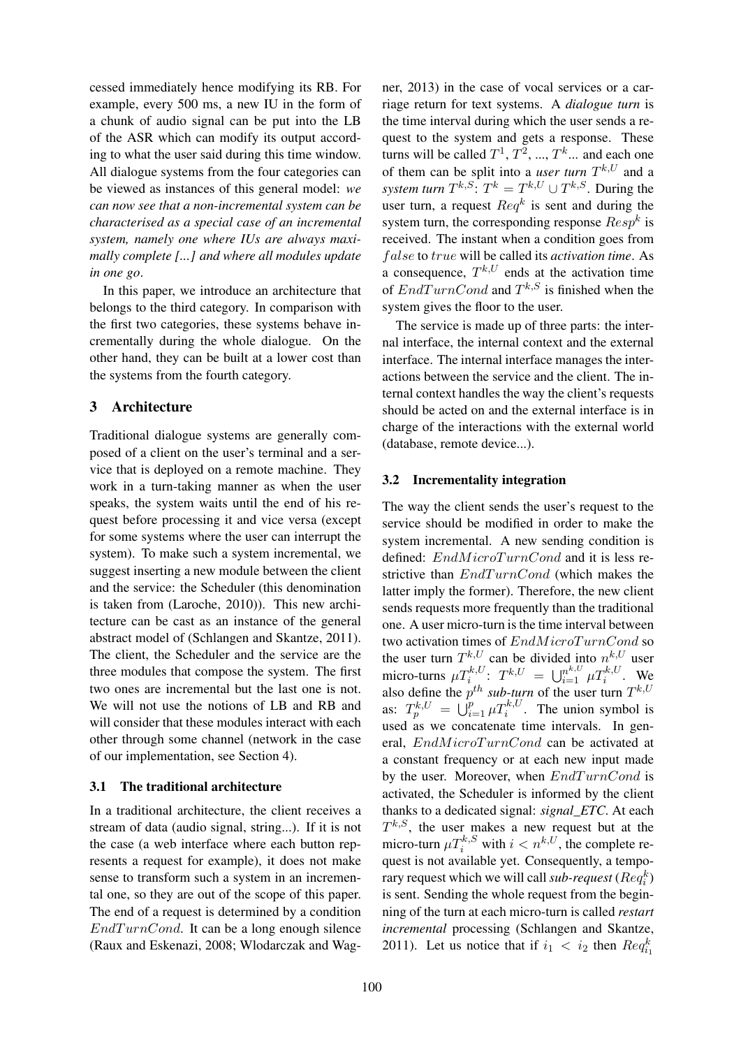cessed immediately hence modifying its RB. For example, every 500 ms, a new IU in the form of a chunk of audio signal can be put into the LB of the ASR which can modify its output according to what the user said during this time window. All dialogue systems from the four categories can be viewed as instances of this general model: *we can now see that a non-incremental system can be characterised as a special case of an incremental system, namely one where IUs are always maximally complete [...] and where all modules update in one go*.

In this paper, we introduce an architecture that belongs to the third category. In comparison with the first two categories, these systems behave incrementally during the whole dialogue. On the other hand, they can be built at a lower cost than the systems from the fourth category.

# 3 Architecture

Traditional dialogue systems are generally composed of a client on the user's terminal and a service that is deployed on a remote machine. They work in a turn-taking manner as when the user speaks, the system waits until the end of his request before processing it and vice versa (except for some systems where the user can interrupt the system). To make such a system incremental, we suggest inserting a new module between the client and the service: the Scheduler (this denomination is taken from (Laroche, 2010)). This new architecture can be cast as an instance of the general abstract model of (Schlangen and Skantze, 2011). The client, the Scheduler and the service are the three modules that compose the system. The first two ones are incremental but the last one is not. We will not use the notions of LB and RB and will consider that these modules interact with each other through some channel (network in the case of our implementation, see Section 4).

### 3.1 The traditional architecture

In a traditional architecture, the client receives a stream of data (audio signal, string...). If it is not the case (a web interface where each button represents a request for example), it does not make sense to transform such a system in an incremental one, so they are out of the scope of this paper. The end of a request is determined by a condition  $EndTurnCond$ . It can be a long enough silence (Raux and Eskenazi, 2008; Wlodarczak and Wag-

ner, 2013) in the case of vocal services or a carriage return for text systems. A *dialogue turn* is the time interval during which the user sends a request to the system and gets a response. These turns will be called  $T^1, T^2, ..., T^k$ ... and each one of them can be split into a *user turn*  $T^{k,U}$  and a *system turn*  $T^{k,S}$ :  $T^k = T^{k,U} \cup T^{k,S}$ . During the user turn, a request  $Req^k$  is sent and during the system turn, the corresponding response  $Resp^k$  is received. The instant when a condition goes from f alse to true will be called its *activation time*. As a consequence,  $T^{k,U}$  ends at the activation time of  $EndTurnCond$  and  $T^{k,S}$  is finished when the system gives the floor to the user.

The service is made up of three parts: the internal interface, the internal context and the external interface. The internal interface manages the interactions between the service and the client. The internal context handles the way the client's requests should be acted on and the external interface is in charge of the interactions with the external world (database, remote device...).

# 3.2 Incrementality integration

The way the client sends the user's request to the service should be modified in order to make the system incremental. A new sending condition is defined: EndMicroTurnCond and it is less restrictive than  $EndTurnCond$  (which makes the latter imply the former). Therefore, the new client sends requests more frequently than the traditional one. A user micro-turn is the time interval between two activation times of  $EndMicroTurnCond$  so the user turn  $T^{k,U}$  can be divided into  $n^{k,U}$  user micro-turns  $\mu T_i^{k,U}$ :  $T^{k,U} = \bigcup_{i=1}^{n^{k,U}} \mu T_i^{k,U}$ . We also define the  $p^{th}$  sub-turn of the user turn  $T^{k,U}$ as:  $T_p^{k,U} = \bigcup_{i=1}^p \mu T_i^{k,U}$ . The union symbol is used as we concatenate time intervals. In general, EndMicroTurnCond can be activated at a constant frequency or at each new input made by the user. Moreover, when  $EndTurnCond$  is activated, the Scheduler is informed by the client thanks to a dedicated signal: *signal\_ETC*. At each  $T^{k,S}$ , the user makes a new request but at the micro-turn  $\mu T_i^{k,S}$  with  $i < n^{k,U}$ , the complete request is not available yet. Consequently, a temporary request which we will call *sub-request* ( $Req_i^k$ ) is sent. Sending the whole request from the beginning of the turn at each micro-turn is called *restart incremental* processing (Schlangen and Skantze, 2011). Let us notice that if  $i_1 < i_2$  then  $Req_{i_1}^k$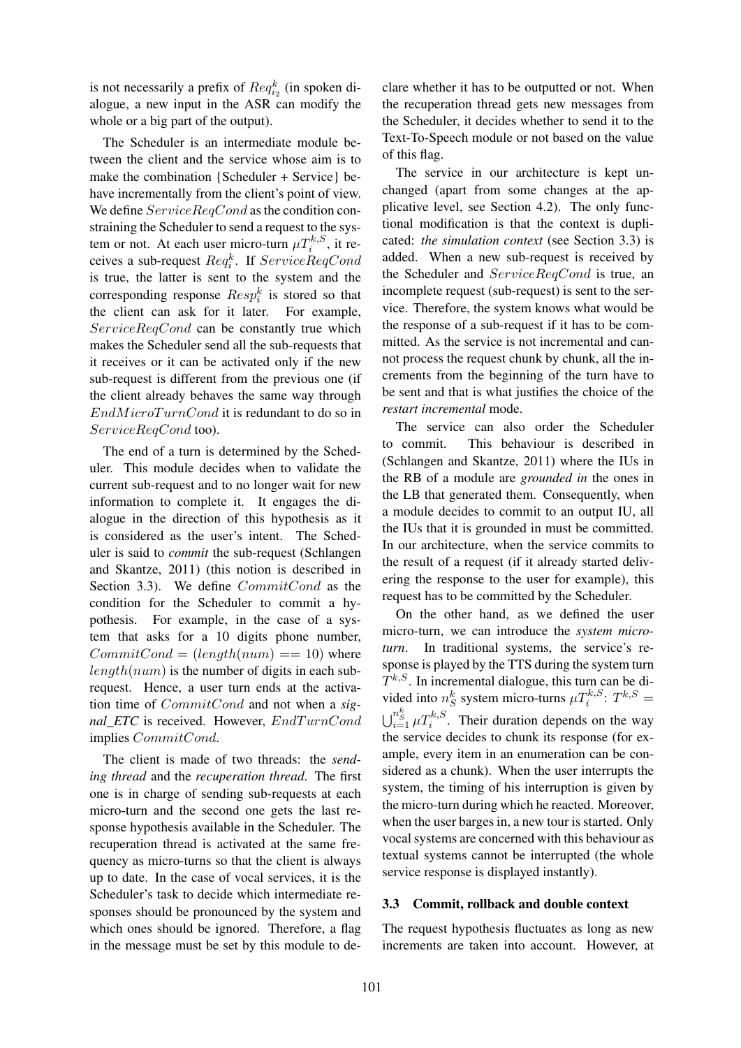is not necessarily a prefix of  $Req_{i_2}^k$  (in spoken dialogue, a new input in the ASR can modify the whole or a big part of the output).

The Scheduler is an intermediate module between the client and the service whose aim is to make the combination {Scheduler + Service} behave incrementally from the client's point of view. We define  $ServiceRegCond$  as the condition constraining the Scheduler to send a request to the system or not. At each user micro-turn  $\mu T_i^{k,S}$ , it receives a sub-request  $Req_i^k$ . If  $ServiceReqCond$ is true, the latter is sent to the system and the corresponding response  $Resp_i^k$  is stored so that the client can ask for it later. For example, ServiceReqCond can be constantly true which makes the Scheduler send all the sub-requests that it receives or it can be activated only if the new sub-request is different from the previous one (if the client already behaves the same way through  $EndMicroTurnCond$  it is redundant to do so in ServiceReqCond too).

The end of a turn is determined by the Scheduler. This module decides when to validate the current sub-request and to no longer wait for new information to complete it. It engages the dialogue in the direction of this hypothesis as it is considered as the user's intent. The Scheduler is said to *commit* the sub-request (Schlangen and Skantze, 2011) (this notion is described in Section 3.3). We define  $CommitCond$  as the condition for the Scheduler to commit a hypothesis. For example, in the case of a system that asks for a 10 digits phone number,  $CommitCond = (length(num) == 10)$  where  $length(num)$  is the number of digits in each subrequest. Hence, a user turn ends at the activation time of CommitCond and not when a *signal\_ETC* is received. However,  $EndTurnCond$ implies CommitCond.

The client is made of two threads: the *sending thread* and the *recuperation thread*. The first one is in charge of sending sub-requests at each micro-turn and the second one gets the last response hypothesis available in the Scheduler. The recuperation thread is activated at the same frequency as micro-turns so that the client is always up to date. In the case of vocal services, it is the Scheduler's task to decide which intermediate responses should be pronounced by the system and which ones should be ignored. Therefore, a flag in the message must be set by this module to de-

clare whether it has to be outputted or not. When the recuperation thread gets new messages from the Scheduler, it decides whether to send it to the Text-To-Speech module or not based on the value of this flag.

The service in our architecture is kept unchanged (apart from some changes at the applicative level, see Section 4.2). The only functional modification is that the context is duplicated: *the simulation context* (see Section 3.3) is added. When a new sub-request is received by the Scheduler and ServiceReqCond is true, an incomplete request (sub-request) is sent to the service. Therefore, the system knows what would be the response of a sub-request if it has to be committed. As the service is not incremental and cannot process the request chunk by chunk, all the increments from the beginning of the turn have to be sent and that is what justifies the choice of the *restart incremental* mode.

The service can also order the Scheduler to commit. This behaviour is described in (Schlangen and Skantze, 2011) where the IUs in the RB of a module are *grounded in* the ones in the LB that generated them. Consequently, when a module decides to commit to an output IU, all the IUs that it is grounded in must be committed. In our architecture, when the service commits to the result of a request (if it already started delivering the response to the user for example), this request has to be committed by the Scheduler.

On the other hand, as we defined the user micro-turn, we can introduce the *system microturn*. In traditional systems, the service's response is played by the TTS during the system turn  $T^{k,S}$ . In incremental dialogue, this turn can be divided into  $n_S^k$  system micro-turns  $\mu T_i^{k,S}$ :  $T^{k,S}$  =  $\bigcup_{i=1}^{n_S^k} \mu T_i^{k,S}$ . Their duration depends on the way the service decides to chunk its response (for example, every item in an enumeration can be considered as a chunk). When the user interrupts the system, the timing of his interruption is given by the micro-turn during which he reacted. Moreover, when the user barges in, a new tour is started. Only vocal systems are concerned with this behaviour as textual systems cannot be interrupted (the whole service response is displayed instantly).

#### 3.3 Commit, rollback and double context

The request hypothesis fluctuates as long as new increments are taken into account. However, at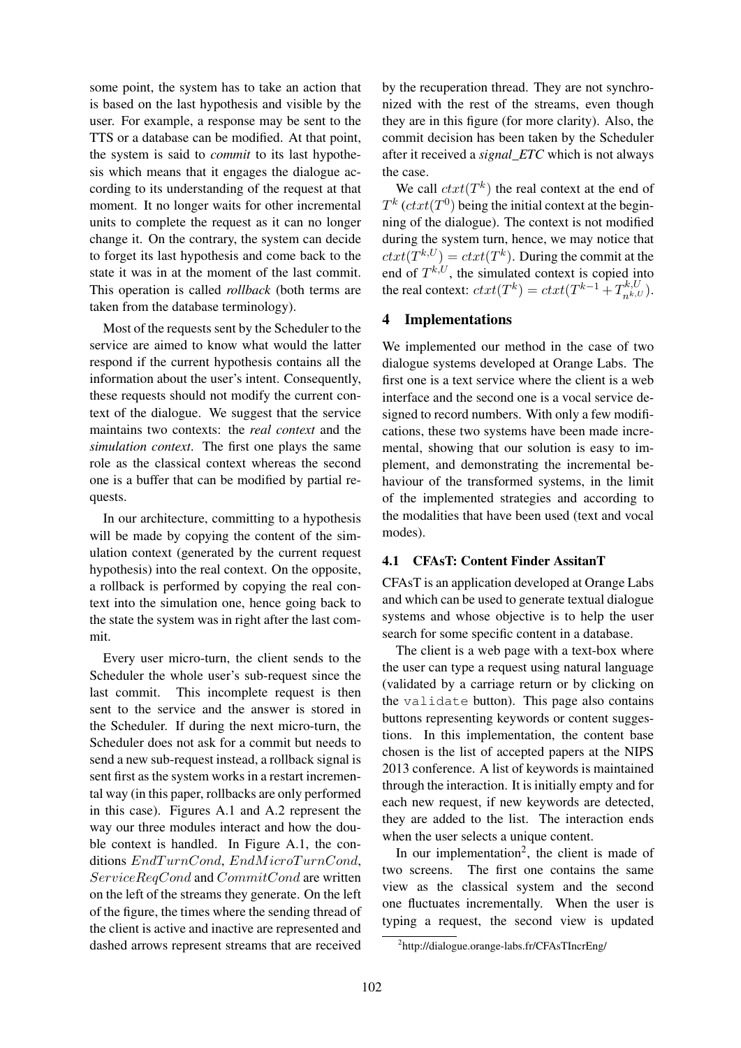some point, the system has to take an action that is based on the last hypothesis and visible by the user. For example, a response may be sent to the TTS or a database can be modified. At that point, the system is said to *commit* to its last hypothesis which means that it engages the dialogue according to its understanding of the request at that moment. It no longer waits for other incremental units to complete the request as it can no longer change it. On the contrary, the system can decide to forget its last hypothesis and come back to the state it was in at the moment of the last commit. This operation is called *rollback* (both terms are taken from the database terminology).

Most of the requests sent by the Scheduler to the service are aimed to know what would the latter respond if the current hypothesis contains all the information about the user's intent. Consequently, these requests should not modify the current context of the dialogue. We suggest that the service maintains two contexts: the *real context* and the *simulation context*. The first one plays the same role as the classical context whereas the second one is a buffer that can be modified by partial requests.

In our architecture, committing to a hypothesis will be made by copying the content of the simulation context (generated by the current request hypothesis) into the real context. On the opposite, a rollback is performed by copying the real context into the simulation one, hence going back to the state the system was in right after the last commit.

Every user micro-turn, the client sends to the Scheduler the whole user's sub-request since the last commit. This incomplete request is then sent to the service and the answer is stored in the Scheduler. If during the next micro-turn, the Scheduler does not ask for a commit but needs to send a new sub-request instead, a rollback signal is sent first as the system works in a restart incremental way (in this paper, rollbacks are only performed in this case). Figures A.1 and A.2 represent the way our three modules interact and how the double context is handled. In Figure A.1, the conditions  $EndTurnCond, EndMicroTurnCond,$ ServiceReqCond and CommitCond are written on the left of the streams they generate. On the left of the figure, the times where the sending thread of the client is active and inactive are represented and dashed arrows represent streams that are received by the recuperation thread. They are not synchronized with the rest of the streams, even though they are in this figure (for more clarity). Also, the commit decision has been taken by the Scheduler after it received a *signal\_ETC* which is not always the case.

We call  $ctxt(T^k)$  the real context at the end of  $T^k$  ( $ctxt(T^0)$  being the initial context at the beginning of the dialogue). The context is not modified during the system turn, hence, we may notice that  $ctxt(T^{k,U}) =ctxt(T^k)$ . During the commit at the end of  $T^{k,U}$ , the simulated context is copied into the real context:  $ctxt(T^k) =ctxt(T^{k-1} + T^{k,U}_{n^{k,U}})$ .

### 4 Implementations

We implemented our method in the case of two dialogue systems developed at Orange Labs. The first one is a text service where the client is a web interface and the second one is a vocal service designed to record numbers. With only a few modifications, these two systems have been made incremental, showing that our solution is easy to implement, and demonstrating the incremental behaviour of the transformed systems, in the limit of the implemented strategies and according to the modalities that have been used (text and vocal modes).

#### 4.1 CFAsT: Content Finder AssitanT

CFAsT is an application developed at Orange Labs and which can be used to generate textual dialogue systems and whose objective is to help the user search for some specific content in a database.

The client is a web page with a text-box where the user can type a request using natural language (validated by a carriage return or by clicking on the validate button). This page also contains buttons representing keywords or content suggestions. In this implementation, the content base chosen is the list of accepted papers at the NIPS 2013 conference. A list of keywords is maintained through the interaction. It is initially empty and for each new request, if new keywords are detected, they are added to the list. The interaction ends when the user selects a unique content.

In our implementation<sup>2</sup>, the client is made of two screens. The first one contains the same view as the classical system and the second one fluctuates incrementally. When the user is typing a request, the second view is updated

<sup>2</sup> http://dialogue.orange-labs.fr/CFAsTIncrEng/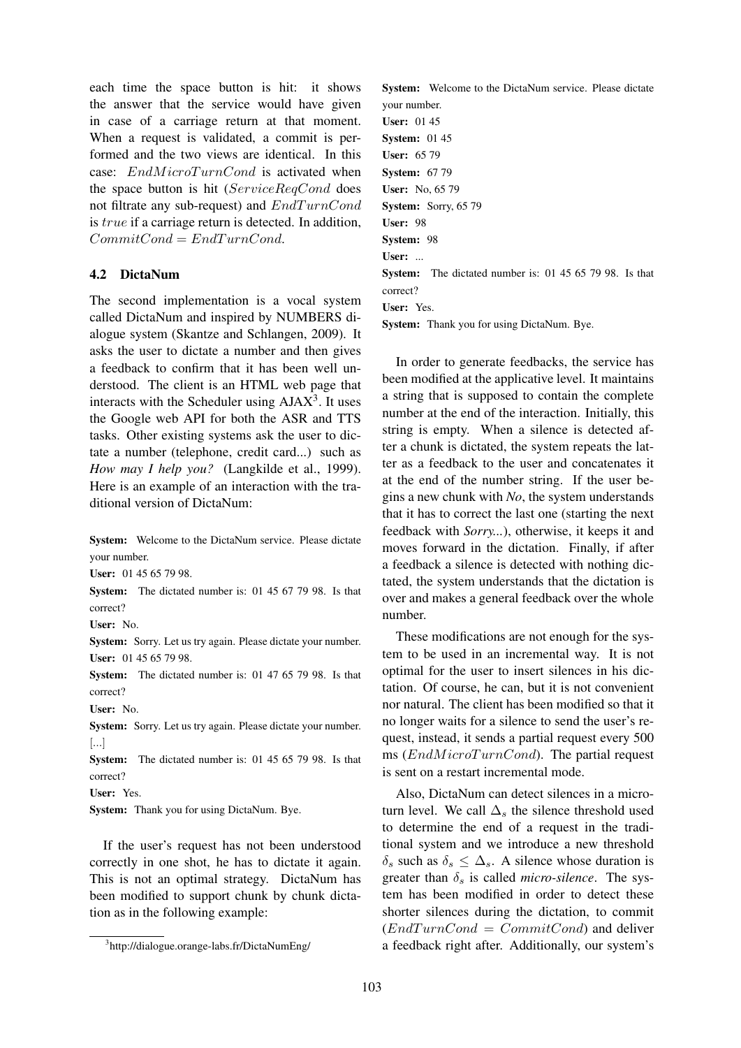each time the space button is hit: it shows the answer that the service would have given in case of a carriage return at that moment. When a request is validated, a commit is performed and the two views are identical. In this case:  $EndMicroTurnCond$  is activated when the space button is hit (ServiceReqCond does not filtrate any sub-request) and  $EndTurnCond$ is true if a carriage return is detected. In addition,  $CommitCond = EndTurnCond.$ 

### 4.2 DictaNum

The second implementation is a vocal system called DictaNum and inspired by NUMBERS dialogue system (Skantze and Schlangen, 2009). It asks the user to dictate a number and then gives a feedback to confirm that it has been well understood. The client is an HTML web page that interacts with the Scheduler using  $A J A X<sup>3</sup>$ . It uses the Google web API for both the ASR and TTS tasks. Other existing systems ask the user to dictate a number (telephone, credit card...) such as *How may I help you?* (Langkilde et al., 1999). Here is an example of an interaction with the traditional version of DictaNum:

System: Welcome to the DictaNum service. Please dictate your number.

User: 01 45 65 79 98.

System: The dictated number is: 01 45 67 79 98. Is that correct?

User: No.

System: Sorry. Let us try again. Please dictate your number. User: 01 45 65 79 98.

System: The dictated number is: 01 47 65 79 98. Is that correct?

User: No.

System: Sorry. Let us try again. Please dictate your number. [...]

System: The dictated number is: 01 45 65 79 98. Is that correct?

User: Yes.

System: Thank you for using DictaNum. Bye.

If the user's request has not been understood correctly in one shot, he has to dictate it again. This is not an optimal strategy. DictaNum has been modified to support chunk by chunk dictation as in the following example:

System: Welcome to the DictaNum service. Please dictate your number. User: 01 45 **System:** 01 45 User: 65 79 **System: 67 79** User: No, 65 79 System: Sorry, 65 79 User: 98 System: 98 User: ... System: The dictated number is: 01 45 65 79 98. Is that correct? User: Yes. System: Thank you for using DictaNum. Bye.

In order to generate feedbacks, the service has been modified at the applicative level. It maintains a string that is supposed to contain the complete number at the end of the interaction. Initially, this string is empty. When a silence is detected after a chunk is dictated, the system repeats the latter as a feedback to the user and concatenates it at the end of the number string. If the user begins a new chunk with *No*, the system understands that it has to correct the last one (starting the next feedback with *Sorry...*), otherwise, it keeps it and moves forward in the dictation. Finally, if after a feedback a silence is detected with nothing dictated, the system understands that the dictation is over and makes a general feedback over the whole number.

These modifications are not enough for the system to be used in an incremental way. It is not optimal for the user to insert silences in his dictation. Of course, he can, but it is not convenient nor natural. The client has been modified so that it no longer waits for a silence to send the user's request, instead, it sends a partial request every 500 ms  $(EndMicroTurnCond)$ . The partial request is sent on a restart incremental mode.

Also, DictaNum can detect silences in a microturn level. We call  $\Delta_s$  the silence threshold used to determine the end of a request in the traditional system and we introduce a new threshold  $\delta_s$  such as  $\delta_s \leq \Delta_s$ . A silence whose duration is greater than  $\delta_s$  is called *micro-silence*. The system has been modified in order to detect these shorter silences during the dictation, to commit  $(EndTurnCond = Committee$  and deliver a feedback right after. Additionally, our system's

<sup>3</sup> http://dialogue.orange-labs.fr/DictaNumEng/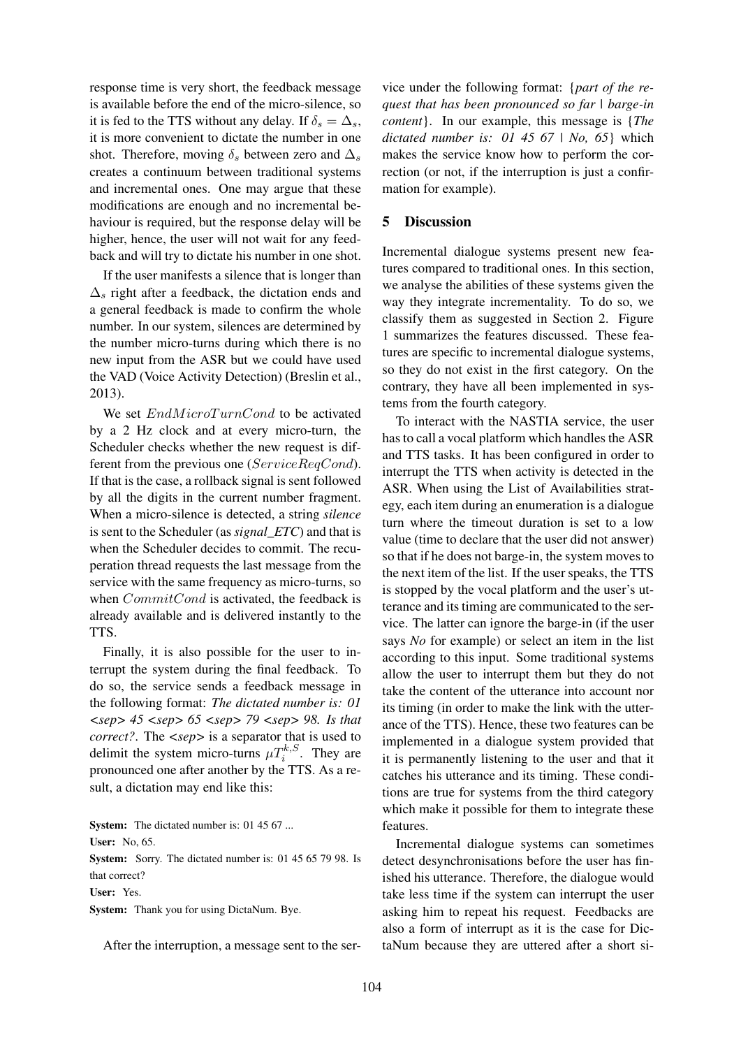response time is very short, the feedback message is available before the end of the micro-silence, so it is fed to the TTS without any delay. If  $\delta_s = \Delta_s$ , it is more convenient to dictate the number in one shot. Therefore, moving  $\delta_s$  between zero and  $\Delta_s$ creates a continuum between traditional systems and incremental ones. One may argue that these modifications are enough and no incremental behaviour is required, but the response delay will be higher, hence, the user will not wait for any feedback and will try to dictate his number in one shot.

If the user manifests a silence that is longer than  $\Delta_s$  right after a feedback, the dictation ends and a general feedback is made to confirm the whole number. In our system, silences are determined by the number micro-turns during which there is no new input from the ASR but we could have used the VAD (Voice Activity Detection) (Breslin et al., 2013).

We set  $EndMicroTurnCond$  to be activated by a 2 Hz clock and at every micro-turn, the Scheduler checks whether the new request is different from the previous one (ServiceReqCond). If that is the case, a rollback signal is sent followed by all the digits in the current number fragment. When a micro-silence is detected, a string *silence* is sent to the Scheduler (as *signal\_ETC*) and that is when the Scheduler decides to commit. The recuperation thread requests the last message from the service with the same frequency as micro-turns, so when *CommitCond* is activated, the feedback is already available and is delivered instantly to the TTS.

Finally, it is also possible for the user to interrupt the system during the final feedback. To do so, the service sends a feedback message in the following format: *The dictated number is: 01 <sep> 45 <sep> 65 <sep> 79 <sep> 98. Is that correct?*. The *<sep>* is a separator that is used to delimit the system micro-turns  $\mu T_i^{k,S}$ . They are pronounced one after another by the TTS. As a result, a dictation may end like this:

System: The dictated number is: 01 45 67 ... User: No, 65.

System: Sorry. The dictated number is: 01 45 65 79 98. Is that correct?

User: Yes.

System: Thank you for using DictaNum. Bye.

After the interruption, a message sent to the ser-

vice under the following format: {*part of the request that has been pronounced so far | barge-in content*}. In our example, this message is {*The dictated number is: 01 45 67 | No, 65*} which makes the service know how to perform the correction (or not, if the interruption is just a confirmation for example).

#### 5 Discussion

Incremental dialogue systems present new features compared to traditional ones. In this section, we analyse the abilities of these systems given the way they integrate incrementality. To do so, we classify them as suggested in Section 2. Figure 1 summarizes the features discussed. These features are specific to incremental dialogue systems, so they do not exist in the first category. On the contrary, they have all been implemented in systems from the fourth category.

To interact with the NASTIA service, the user has to call a vocal platform which handles the ASR and TTS tasks. It has been configured in order to interrupt the TTS when activity is detected in the ASR. When using the List of Availabilities strategy, each item during an enumeration is a dialogue turn where the timeout duration is set to a low value (time to declare that the user did not answer) so that if he does not barge-in, the system moves to the next item of the list. If the user speaks, the TTS is stopped by the vocal platform and the user's utterance and its timing are communicated to the service. The latter can ignore the barge-in (if the user says *No* for example) or select an item in the list according to this input. Some traditional systems allow the user to interrupt them but they do not take the content of the utterance into account nor its timing (in order to make the link with the utterance of the TTS). Hence, these two features can be implemented in a dialogue system provided that it is permanently listening to the user and that it catches his utterance and its timing. These conditions are true for systems from the third category which make it possible for them to integrate these features.

Incremental dialogue systems can sometimes detect desynchronisations before the user has finished his utterance. Therefore, the dialogue would take less time if the system can interrupt the user asking him to repeat his request. Feedbacks are also a form of interrupt as it is the case for DictaNum because they are uttered after a short si-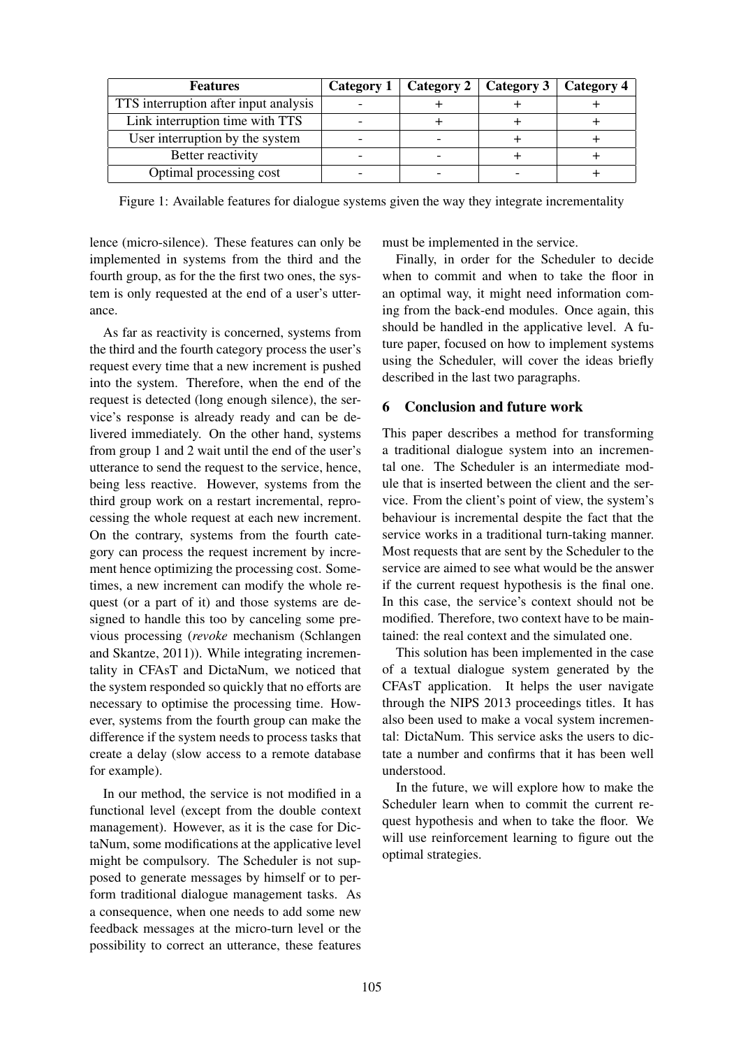| <b>Features</b>                       | Category 1 | Category 2   Category 3 | Category 4 |
|---------------------------------------|------------|-------------------------|------------|
| TTS interruption after input analysis |            |                         |            |
| Link interruption time with TTS       |            |                         |            |
| User interruption by the system       |            |                         |            |
| Better reactivity                     |            |                         |            |
| Optimal processing cost               |            |                         |            |

Figure 1: Available features for dialogue systems given the way they integrate incrementality

lence (micro-silence). These features can only be implemented in systems from the third and the fourth group, as for the the first two ones, the system is only requested at the end of a user's utterance.

As far as reactivity is concerned, systems from the third and the fourth category process the user's request every time that a new increment is pushed into the system. Therefore, when the end of the request is detected (long enough silence), the service's response is already ready and can be delivered immediately. On the other hand, systems from group 1 and 2 wait until the end of the user's utterance to send the request to the service, hence, being less reactive. However, systems from the third group work on a restart incremental, reprocessing the whole request at each new increment. On the contrary, systems from the fourth category can process the request increment by increment hence optimizing the processing cost. Sometimes, a new increment can modify the whole request (or a part of it) and those systems are designed to handle this too by canceling some previous processing (*revoke* mechanism (Schlangen and Skantze, 2011)). While integrating incrementality in CFAsT and DictaNum, we noticed that the system responded so quickly that no efforts are necessary to optimise the processing time. However, systems from the fourth group can make the difference if the system needs to process tasks that create a delay (slow access to a remote database for example).

In our method, the service is not modified in a functional level (except from the double context management). However, as it is the case for DictaNum, some modifications at the applicative level might be compulsory. The Scheduler is not supposed to generate messages by himself or to perform traditional dialogue management tasks. As a consequence, when one needs to add some new feedback messages at the micro-turn level or the possibility to correct an utterance, these features must be implemented in the service.

Finally, in order for the Scheduler to decide when to commit and when to take the floor in an optimal way, it might need information coming from the back-end modules. Once again, this should be handled in the applicative level. A future paper, focused on how to implement systems using the Scheduler, will cover the ideas briefly described in the last two paragraphs.

### 6 Conclusion and future work

This paper describes a method for transforming a traditional dialogue system into an incremental one. The Scheduler is an intermediate module that is inserted between the client and the service. From the client's point of view, the system's behaviour is incremental despite the fact that the service works in a traditional turn-taking manner. Most requests that are sent by the Scheduler to the service are aimed to see what would be the answer if the current request hypothesis is the final one. In this case, the service's context should not be modified. Therefore, two context have to be maintained: the real context and the simulated one.

This solution has been implemented in the case of a textual dialogue system generated by the CFAsT application. It helps the user navigate through the NIPS 2013 proceedings titles. It has also been used to make a vocal system incremental: DictaNum. This service asks the users to dictate a number and confirms that it has been well understood.

In the future, we will explore how to make the Scheduler learn when to commit the current request hypothesis and when to take the floor. We will use reinforcement learning to figure out the optimal strategies.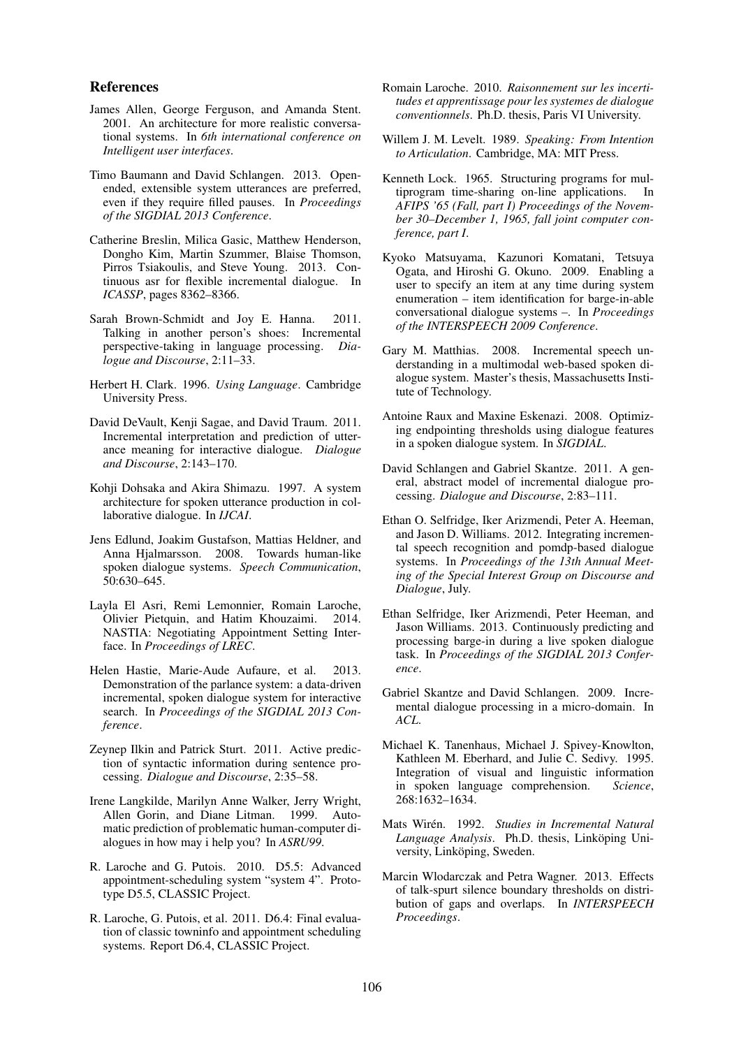#### References

- James Allen, George Ferguson, and Amanda Stent. 2001. An architecture for more realistic conversational systems. In *6th international conference on Intelligent user interfaces*.
- Timo Baumann and David Schlangen. 2013. Openended, extensible system utterances are preferred, even if they require filled pauses. In *Proceedings of the SIGDIAL 2013 Conference*.
- Catherine Breslin, Milica Gasic, Matthew Henderson, Dongho Kim, Martin Szummer, Blaise Thomson, Pirros Tsiakoulis, and Steve Young. 2013. Continuous asr for flexible incremental dialogue. In *ICASSP*, pages 8362–8366.
- Sarah Brown-Schmidt and Joy E. Hanna. 2011. Talking in another person's shoes: Incremental perspective-taking in language processing. *Dialogue and Discourse*, 2:11–33.
- Herbert H. Clark. 1996. *Using Language*. Cambridge University Press.
- David DeVault, Kenji Sagae, and David Traum. 2011. Incremental interpretation and prediction of utterance meaning for interactive dialogue. *Dialogue and Discourse*, 2:143–170.
- Kohji Dohsaka and Akira Shimazu. 1997. A system architecture for spoken utterance production in collaborative dialogue. In *IJCAI*.
- Jens Edlund, Joakim Gustafson, Mattias Heldner, and Anna Hjalmarsson. 2008. Towards human-like spoken dialogue systems. *Speech Communication*, 50:630–645.
- Layla El Asri, Remi Lemonnier, Romain Laroche, Olivier Pietquin, and Hatim Khouzaimi. 2014. NASTIA: Negotiating Appointment Setting Interface. In *Proceedings of LREC*.
- Helen Hastie, Marie-Aude Aufaure, et al. 2013. Demonstration of the parlance system: a data-driven incremental, spoken dialogue system for interactive search. In *Proceedings of the SIGDIAL 2013 Conference*.
- Zeynep Ilkin and Patrick Sturt. 2011. Active prediction of syntactic information during sentence processing. *Dialogue and Discourse*, 2:35–58.
- Irene Langkilde, Marilyn Anne Walker, Jerry Wright, Allen Gorin, and Diane Litman. 1999. Automatic prediction of problematic human-computer dialogues in how may i help you? In *ASRU99*.
- R. Laroche and G. Putois. 2010. D5.5: Advanced appointment-scheduling system "system 4". Prototype D5.5, CLASSIC Project.
- R. Laroche, G. Putois, et al. 2011. D6.4: Final evaluation of classic towninfo and appointment scheduling systems. Report D6.4, CLASSIC Project.
- Romain Laroche. 2010. *Raisonnement sur les incertitudes et apprentissage pour les systemes de dialogue conventionnels*. Ph.D. thesis, Paris VI University.
- Willem J. M. Levelt. 1989. *Speaking: From Intention to Articulation*. Cambridge, MA: MIT Press.
- Kenneth Lock. 1965. Structuring programs for multiprogram time-sharing on-line applications. In *AFIPS '65 (Fall, part I) Proceedings of the November 30–December 1, 1965, fall joint computer conference, part I*.
- Kyoko Matsuyama, Kazunori Komatani, Tetsuya Ogata, and Hiroshi G. Okuno. 2009. Enabling a user to specify an item at any time during system enumeration – item identification for barge-in-able conversational dialogue systems –. In *Proceedings of the INTERSPEECH 2009 Conference*.
- Gary M. Matthias. 2008. Incremental speech understanding in a multimodal web-based spoken dialogue system. Master's thesis, Massachusetts Institute of Technology.
- Antoine Raux and Maxine Eskenazi. 2008. Optimizing endpointing thresholds using dialogue features in a spoken dialogue system. In *SIGDIAL*.
- David Schlangen and Gabriel Skantze. 2011. A general, abstract model of incremental dialogue processing. *Dialogue and Discourse*, 2:83–111.
- Ethan O. Selfridge, Iker Arizmendi, Peter A. Heeman, and Jason D. Williams. 2012. Integrating incremental speech recognition and pomdp-based dialogue systems. In *Proceedings of the 13th Annual Meeting of the Special Interest Group on Discourse and Dialogue*, July.
- Ethan Selfridge, Iker Arizmendi, Peter Heeman, and Jason Williams. 2013. Continuously predicting and processing barge-in during a live spoken dialogue task. In *Proceedings of the SIGDIAL 2013 Conference*.
- Gabriel Skantze and David Schlangen. 2009. Incremental dialogue processing in a micro-domain. In *ACL*.
- Michael K. Tanenhaus, Michael J. Spivey-Knowlton, Kathleen M. Eberhard, and Julie C. Sedivy. 1995. Integration of visual and linguistic information in spoken language comprehension. *Science*, 268:1632–1634.
- Mats Wirén. 1992. *Studies in Incremental Natural Language Analysis*. Ph.D. thesis, Linköping University, Linköping, Sweden.
- Marcin Wlodarczak and Petra Wagner. 2013. Effects of talk-spurt silence boundary thresholds on distribution of gaps and overlaps. In *INTERSPEECH Proceedings*.